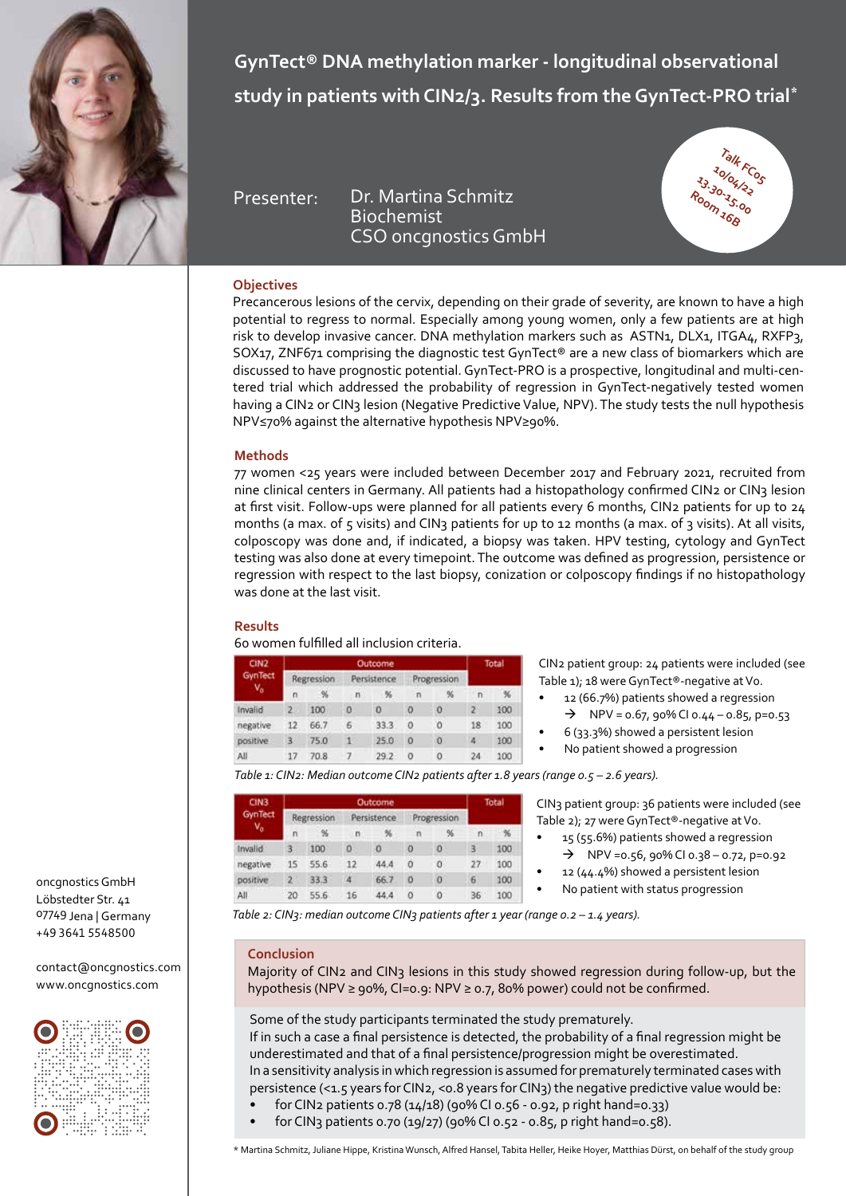

**GynTect® DNA methylation marker - longitudinal observational study in patients with CIN2/3. Results from the GynTect-PRO trial\***

Presenter: Dr. Martina Schmitz Biochemist CSO oncgnostics GmbH



# **Objectives**

Precancerous lesions of the cervix, depending on their grade of severity, are known to have a high potential to regress to normal. Especially among young women, only a few patients are at high risk to develop invasive cancer. DNA methylation markers such as ASTN1, DLX1, ITGA4, RXFP3, SOX17, ZNF671 comprising the diagnostic test GynTect® are a new class of biomarkers which are discussed to have prognostic potential. GynTect-PRO is a prospective, longitudinal and multi-centered trial which addressed the probability of regression in GynTect-negatively tested women having a CIN2 or CIN3 lesion (Negative Predictive Value, NPV). The study tests the null hypothesis NPV≤70% against the alternative hypothesis NPV≥90%.

## **Methods**

77 women <25 years were included between December 2017 and February 2021, recruited from nine clinical centers in Germany. All patients had a histopathology confirmed CIN2 or CIN3 lesion at first visit. Follow-ups were planned for all patients every 6 months, CIN2 patients for up to 24 months (a max. of 5 visits) and CIN3 patients for up to 12 months (a max. of 3 visits). At all visits, colposcopy was done and, if indicated, a biopsy was taken. HPV testing, cytology and GynTect testing was also done at every timepoint. The outcome was defined as progression, persistence or regression with respect to the last biopsy, conization or colposcopy findings if no histopathology was done at the last visit.

#### **Results**

60 women fulfilled all inclusion criteria.

| CIN2<br><b>GynTect</b><br>$V_{\alpha}$ | Outcome    |      |               |      |             |          |                      | Total |  |
|----------------------------------------|------------|------|---------------|------|-------------|----------|----------------------|-------|--|
|                                        | Regression |      | Persistence   |      | Progression |          |                      |       |  |
|                                        | n          |      | n             |      | n           |          | n                    | %     |  |
| Invalid                                |            | 100  | о             | O    | 0           | 0        | $\mathbf{2}^{\circ}$ | 100   |  |
| negative                               | 12         | 66.7 | 6             | 33.3 | 0           | O        | 18                   | 100   |  |
| positive                               | R          | 75.0 | 11            | 25.0 | 0           | $\Omega$ | 4                    | 100   |  |
| All                                    | 17         | 70.8 | $\mathcal{I}$ | 29.2 | 0           | $\circ$  | 24                   | 100   |  |

CIN2 patient group: 24 patients were included (see Table 1); 18 were GynTect®-negative at V0.

- 12 (66.7%) patients showed a regression  $\rightarrow$  NPV = 0.67, 90% CI 0.44 – 0.85, p=0.53
- 6 (33.3%) showed a persistent lesion
- N0 patient showed a progression
- 

*Table 1: CIN2: Median outcome CIN2 patients after 1.8 years (range 0.5 – 2.6 years).*

| CIN3<br>GynTect<br>$\mathsf{v}_{\scriptscriptstyle 0}$ |              | Total |             |      |             |    |    |     |
|--------------------------------------------------------|--------------|-------|-------------|------|-------------|----|----|-----|
|                                                        | Regression   |       | Persistence |      | Progression |    |    |     |
|                                                        | n            |       | 'n          | %    |             | 96 | n  | 酱   |
| Invalid                                                | з            | 100   | 0           | о    | 0           | 0  | 3. | 100 |
| negative                                               | 15           | 55.6  | 12          | 44.4 | Ű           | 0  | 27 | 100 |
| positive                                               | $\mathbf{z}$ | 33.3  | A           | 66.7 | O           | 0  | 6  | 100 |
| All                                                    | 20           | 55.6  | 16          | 44.4 | 0           | 0  | 36 | 100 |

CIN3 patient group: 36 patients were included (see Table 2); 27 were GynTect®-negative at V0.

- 15 (55.6%) patients showed a regression  $\rightarrow$  NPV = 0.56, 90% CI 0.38 – 0.72, p=0.92
- 12 (44.4%) showed a persistent lesion
- N0 patient with status progression

*Table 2: CIN3: median outcome CIN3 patients after 1 year (range 0.2 – 1.4 years).*

### **Conclusion**

Majority of CIN2 and CIN3 lesions in this study showed regression during follow-up, but the hypothesis (NPV ≥ 90%, CI=0.9: NPV ≥ 0.7, 80% power) could not be confirmed.

Some of the study participants terminated the study prematurely. If in such a case a final persistence is detected, the probability of a final regression might be underestimated and that of a final persistence/progression might be overestimated. In a sensitivity analysis in which regression is assumed for prematurely terminated cases with persistence (<1.5 years for CIN2, <0.8 years for CIN3) the negative predictive value would be:

- for CIN2 patients 0.78 (14/18) (90% CI 0.56 0.92, p right hand=0.33)
- for CIN3 patients 0.70 (19/27) (90% CI 0.52 0.85, p right hand=0.58).

\* Martina Schmitz, Juliane Hippe, Kristina Wunsch, Alfred Hansel, Tabita Heller, Heike Hoyer, Matthias Dürst, on behalf of the study group

oncgnostics GmbH Löbstedter Str. 41 07749 Jena | Germany +49 3641 5548500

contact@oncgnostics.com www.oncgnostics.com